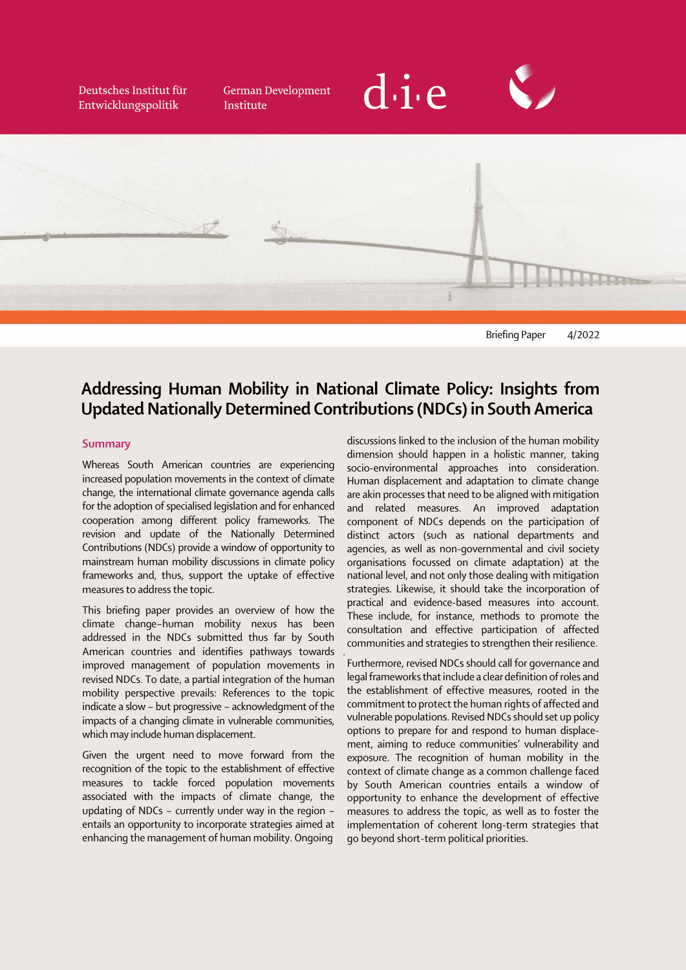Deutsches Institut für Entwicklungspolitik

**German Development** Institute





 $\ddot{\phantom{0}}$ Briefing Paper 4/2022

## $\overline{a}$ Addressing Human Mobility in National Climate Policy: Insights from Updated Nationally Determined Contributions (NDCs) in South America

#### Summary

 $\ddot{\phantom{0}}$ Whereas South American countries are experiencing increased population movements in the context of climate change, the international climate governance agenda calls for the adoption of specialised legislation and for enhanced cooperation among different policy frameworks. The revision and update of the Nationally Determined Contributions (NDCs) provide a window of opportunity to mainstream human mobility discussions in climate policy frameworks and, thus, support the uptake of effective measures to address the topic.

 $\vdots$ This briefing paper provides an overview of how the climate change–human mobility nexus has been addressed in the NDCs submitted thus far by South American countries and identifies pathways towards improved management of population movements in revised NDCs. To date, a partial integration of the human mobility perspective prevails: References to the topic indicate a slow – but progressive – acknowledgment of the impacts of a changing climate in vulnerable communities, which may include human displacement.

Given the urgent need to move forward from the recognition of the topic to the establishment of effective measures to tackle forced population movements associated with the impacts of climate change, the updating of NDCs – currently under way in the region – entails an opportunity to incorporate strategies aimed at enhancing the management of human mobility. Ongoing

discussions linked to the inclusion of the human mobility dimension should happen in a holistic manner, taking socio-environmental approaches into consideration. Human displacement and adaptation to climate change are akin processes that need to be aligned with mitigation and related measures. An improved adaptation component of NDCs depends on the participation of distinct actors (such as national departments and agencies, as well as non-governmental and civil society organisations focussed on climate adaptation) at the national level, and not only those dealing with mitigation strategies. Likewise, it should take the incorporation of practical and evidence-based measures into account. These include, for instance, methods to promote the consultation and effective participation of affected communities and strategies to strengthen their resilience.

 $\ddot{\phantom{0}}$ Furthermore, revised NDCs should call for governance and legal frameworks that include a clear definition of roles and the establishment of effective measures, rooted in the commitment to protect the human rights of affected and vulnerable populations. Revised NDCs should set up policy options to prepare for and respond to human displacement, aiming to reduce communities' vulnerability and exposure. The recognition of human mobility in the context of climate change as a common challenge faced by South American countries entails a window of opportunity to enhance the development of effective measures to address the topic, as well as to foster the implementation of coherent long-term strategies that go beyond short-term political priorities.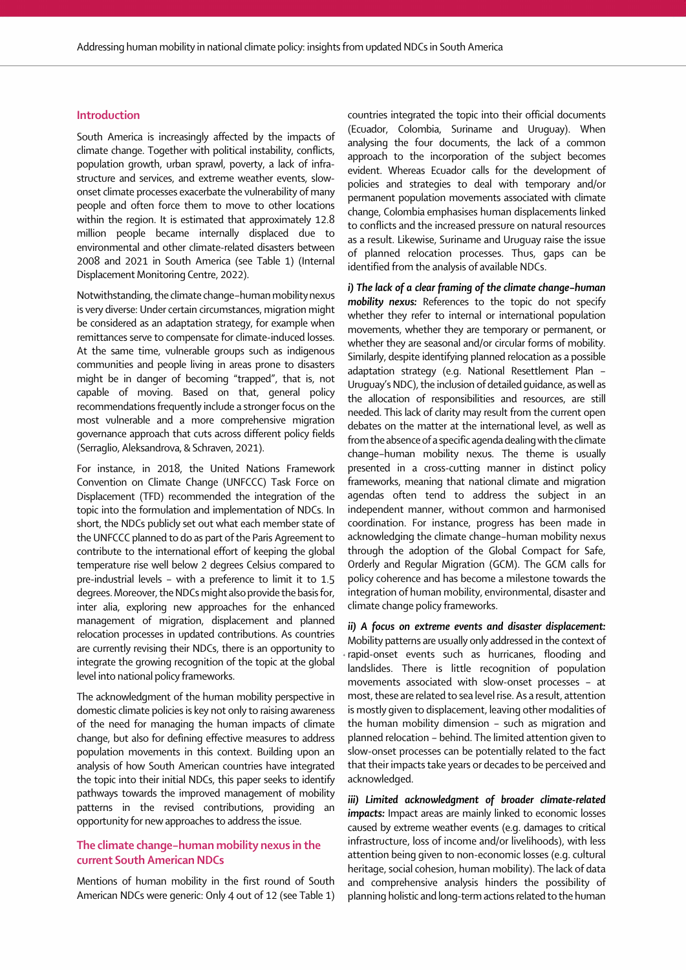#### Introduction

South America is increasingly affected by the impacts of climate change. Together with political instability, conflicts, population growth, urban sprawl, poverty, a lack of infrastructure and services, and extreme weather events, slowonset climate processes exacerbate the vulnerability of many people and often force them to move to other locations within the region. It is estimated that approximately 12.8 million people became internally displaced due to environmental and other climate-related disasters between 2008 and 2021 in South America (see Table 1) (Internal Displacement Monitoring Centre, 2022).

Notwithstanding, the climate change–human mobility nexus is very diverse: Under certain circumstances, migration might be considered as an adaptation strategy, for example when remittances serve to compensate for climate-induced losses. At the same time, vulnerable groups such as indigenous communities and people living in areas prone to disasters might be in danger of becoming "trapped", that is, not capable of moving. Based on that, general policy recommendations frequently include a stronger focus on the most vulnerable and a more comprehensive migration governance approach that cuts across different policy fields (Serraglio, Aleksandrova, & Schraven, 2021).

 $\ddot{\phantom{0}}$ For instance, in 2018, the United Nations Framework Convention on Climate Change (UNFCCC) Task Force on Displacement (TFD) recommended the integration of the topic into the formulation and implementation of NDCs. In short, the NDCs publicly set out what each member state of the UNFCCC planned to do as part of the Paris Agreement to contribute to the international effort of keeping the global temperature rise well below 2 degrees Celsius compared to pre-industrial levels – with a preference to limit it to 1.5 degrees. Moreover, the NDCs might also provide the basis for, inter alia, exploring new approaches for the enhanced management of migration, displacement and planned relocation processes in updated contributions. As countries are currently revising their NDCs, there is an opportunity to integrate the growing recognition of the topic at the global level into national policy frameworks.

The acknowledgment of the human mobility perspective in domestic climate policies is key not only to raising awareness of the need for managing the human impacts of climate change, but also for defining effective measures to address population movements in this context. Building upon an analysis of how South American countries have integrated the topic into their initial NDCs, this paper seeks to identify pathways towards the improved management of mobility patterns in the revised contributions, providing an opportunity for new approaches to address the issue.

#### i.  $\frac{1}{2}$ The climate change–human mobility nexus in the current South American NDCs

Mentions of human mobility in the first round of South American NDCs were generic: Only 4 out of 12 (see Table 1)

 $\ddot{\phantom{0}}$ countries integrated the topic into their official documents (Ecuador, Colombia, Suriname and Uruguay). When analysing the four documents, the lack of a common approach to the incorporation of the subject becomes evident. Whereas Ecuador calls for the development of policies and strategies to deal with temporary and/or permanent population movements associated with climate change, Colombia emphasises human displacements linked to conflicts and the increased pressure on natural resources as a result. Likewise, Suriname and Uruguay raise the issue of planned relocation processes. Thus, gaps can be identified from the analysis of available NDCs.

 $\ddot{\phantom{0}}$ ; J  $\ddot{\phantom{0}}$ *i) The lack of a clear framing of the climate change–human mobility nexus:* References to the topic do not specify whether they refer to internal or international population movements, whether they are temporary or permanent, or whether they are seasonal and/or circular forms of mobility. Similarly, despite identifying planned relocation as a possible adaptation strategy (e.g. National Resettlement Plan – Uruguay's NDC), the inclusion of detailed guidance, as well as the allocation of responsibilities and resources, are still needed. This lack of clarity may result from the current open debates on the matter at the international level, as well as from the absence of a specific agenda dealing with the climate change–human mobility nexus. The theme is usually presented in a cross-cutting manner in distinct policy frameworks, meaning that national climate and migration agendas often tend to address the subject in an independent manner, without common and harmonised coordination. For instance, progress has been made in acknowledging the climate change–human mobility nexus through the adoption of the Global Compact for Safe, Orderly and Regular Migration (GCM). The GCM calls for policy coherence and has become a milestone towards the integration of human mobility, environmental, disaster and climate change policy frameworks.

 $\vdots$ *ii) A focus on extreme events and disaster displacement:*  Mobility patterns are usually only addressed in the context of rapid-onset events such as hurricanes, flooding and landslides. There is little recognition of population movements associated with slow-onset processes – at most, these are related to sea level rise. As a result, attention is mostly given to displacement, leaving other modalities of the human mobility dimension – such as migration and planned relocation – behind. The limited attention given to slow-onset processes can be potentially related to the fact that their impacts take years or decades to be perceived and acknowledged.

 $\vdots$  $\overline{a}$ i i *iii) Limited acknowledgment of broader climate-related impacts:* Impact areas are mainly linked to economic losses caused by extreme weather events (e.g. damages to critical infrastructure, loss of income and/or livelihoods), with less attention being given to non-economic losses (e.g. cultural heritage, social cohesion, human mobility). The lack of data and comprehensive analysis hinders the possibility of planning holistic and long-term actions related to the human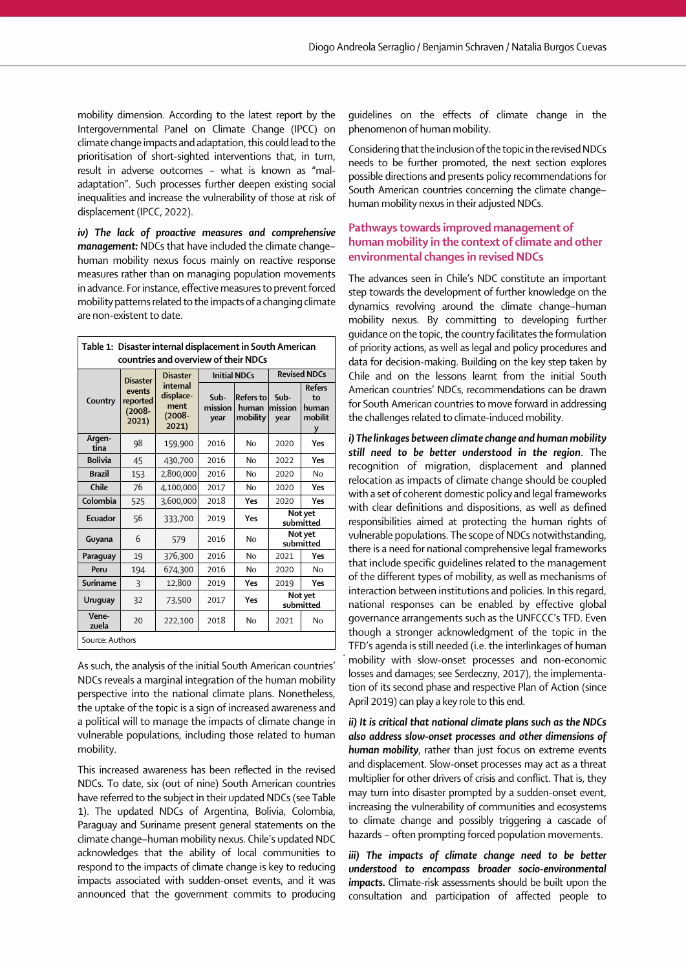mobility dimension. According to the latest report by the Intergovernmental Panel on Climate Change (IPCC) on climate change impacts and adaptation, this could lead to the prioritisation of short-sighted interventions that, in turn, result in adverse outcomes – what is known as "maladaptation". Such processes further deepen existing social inequalities and increase the vulnerability of those at risk of displacement (IPCC, 2022).

 j *iv) The lack of proactive measures and comprehensive management:* NDCs that have included the climate change– human mobility nexus focus mainly on reactive response measures rather than on managing population movements in advance. For instance, effective measures to prevent forced mobility patterns related to the impacts of a changing climate are non-existent to date.

| Table 1: Disaster internal displacement in South American<br>countries and overview of their NDCs |                                          |                                                  |                         |                                       |                         |                                              |
|---------------------------------------------------------------------------------------------------|------------------------------------------|--------------------------------------------------|-------------------------|---------------------------------------|-------------------------|----------------------------------------------|
|                                                                                                   | <b>Disaster</b>                          | <b>Disaster</b>                                  | <b>Initial NDCs</b>     |                                       | <b>Revised NDCs</b>     |                                              |
| Country                                                                                           | events<br>reported<br>$(2008 -$<br>2021) | internal<br>displace-<br>ment<br>(2008-<br>2021) | Sub-<br>mission<br>year | <b>Refers to</b><br>human<br>mobility | Sub-<br>mission<br>year | <b>Refers</b><br>to<br>human<br>mobilit<br>y |
| Argen-<br>tina                                                                                    | 98                                       | 159,900                                          | 2016                    | No                                    | 2020                    | Yes                                          |
| <b>Bolivia</b>                                                                                    | 45                                       | 430,700                                          | 2016                    | No                                    | 2022                    | Yes                                          |
| <b>Brazil</b>                                                                                     | 153                                      | 2,800,000                                        | 2016                    | No                                    | 2020                    | <b>No</b>                                    |
| Chile                                                                                             | 76                                       | 4,100,000                                        | 2017                    | No                                    | 2020                    | Yes                                          |
| Colombia                                                                                          | 525                                      | 3,600,000                                        | 2018                    | Yes                                   | 2020                    | Yes                                          |
| Ecuador                                                                                           | 56                                       | 333,700                                          | 2019                    | Yes                                   | Not yet<br>submitted    |                                              |
| Guyana                                                                                            | 6                                        | 579                                              | 2016                    | No                                    | Not yet<br>submitted    |                                              |
| Paraguay                                                                                          | 19                                       | 376,300                                          | 2016                    | <b>No</b>                             | 2021                    | Yes                                          |
| Peru                                                                                              | 194                                      | 674,300                                          | 2016                    | No                                    | 2020                    | No                                           |
| Suriname                                                                                          | 3                                        | 12,800                                           | 2019                    | Yes                                   | 2019                    | Yes                                          |
| Uruguay                                                                                           | 32                                       | 73,500                                           | 2017                    | Yes                                   | Not yet<br>submitted    |                                              |
| Vene-<br>zuela                                                                                    | 20                                       | 222,100                                          | 2018                    | No                                    | 2021                    | No                                           |
| Source: Authors                                                                                   |                                          |                                                  |                         |                                       |                         |                                              |

As such, the analysis of the initial South American countries' NDCs reveals a marginal integration of the human mobility perspective into the national climate plans. Nonetheless, the uptake of the topic is a sign of increased awareness and a political will to manage the impacts of climate change in vulnerable populations, including those related to human mobility.

This increased awareness has been reflected in the revised NDCs. To date, six (out of nine) South American countries have referred to the subject in their updated NDCs (see Table 1). The updated NDCs of Argentina, Bolivia, Colombia, Paraguay and Suriname present general statements on the climate change–human mobility nexus. Chile's updated NDC acknowledges that the ability of local communities to respond to the impacts of climate change is key to reducing impacts associated with sudden-onset events, and it was announced that the government commits to producing

.<br>. guidelines on the effects of climate change in the phenomenon of human mobility.

 $\overline{a}$ Considering that the inclusion of the topic in the revised NDCs needs to be further promoted, the next section explores possible directions and presents policy recommendations for South American countries concerning the climate change– human mobility nexus in their adjusted NDCs.

#### i, Pathways towards improved management of human mobility in the context of climate and other environmental changes in revised NDCs

 $\overline{a}$  $\ddot{\phantom{0}}$ i  $\ddot{\phantom{0}}$ The advances seen in Chile's NDC constitute an important step towards the development of further knowledge on the dynamics revolving around the climate change–human mobility nexus. By committing to developing further guidance on the topic, the country facilitates the formulation of priority actions, as well as legal and policy procedures and data for decision-making. Building on the key step taken by Chile and on the lessons learnt from the initial South American countries' NDCs, recommendations can be drawn for South American countries to move forward in addressing the challenges related to climate-induced mobility.

 $\ddot{\phantom{0}}$  $\ddot{\phantom{0}}$ *i) The linkages between climate change and human mobility still need to be better understood in the region*. The recognition of migration, displacement and planned relocation as impacts of climate change should be coupled with a set of coherent domestic policy and legal frameworks with clear definitions and dispositions, as well as defined responsibilities aimed at protecting the human rights of vulnerable populations. The scope of NDCs notwithstanding, there is a need for national comprehensive legal frameworks that include specific guidelines related to the management of the different types of mobility, as well as mechanisms of interaction between institutions and policies. In this regard, national responses can be enabled by effective global governance arrangements such as the UNFCCC's TFD. Even though a stronger acknowledgment of the topic in the TFD's agenda is still needed (i.e. the interlinkages of human mobility with slow-onset processes and non-economic losses and damages; see Serdeczny, 2017), the implementation of its second phase and respective Plan of Action (since April 2019) can play a key role to this end.

 $\overline{a}$  $\ddot{\phantom{0}}$ *ii) It is critical that national climate plans such as the NDCs also address slow-onset processes and other dimensions of human mobility*, rather than just focus on extreme events and displacement. Slow-onset processes may act as a threat multiplier for other drivers of crisis and conflict. That is, they may turn into disaster prompted by a sudden-onset event, increasing the vulnerability of communities and ecosystems to climate change and possibly triggering a cascade of hazards – often prompting forced population movements.

i *iii*) The impacts of climate change need to be better *understood to encompass broader socio-environmental impacts.* Climate-risk assessments should be built upon the consultation and participation of affected people to